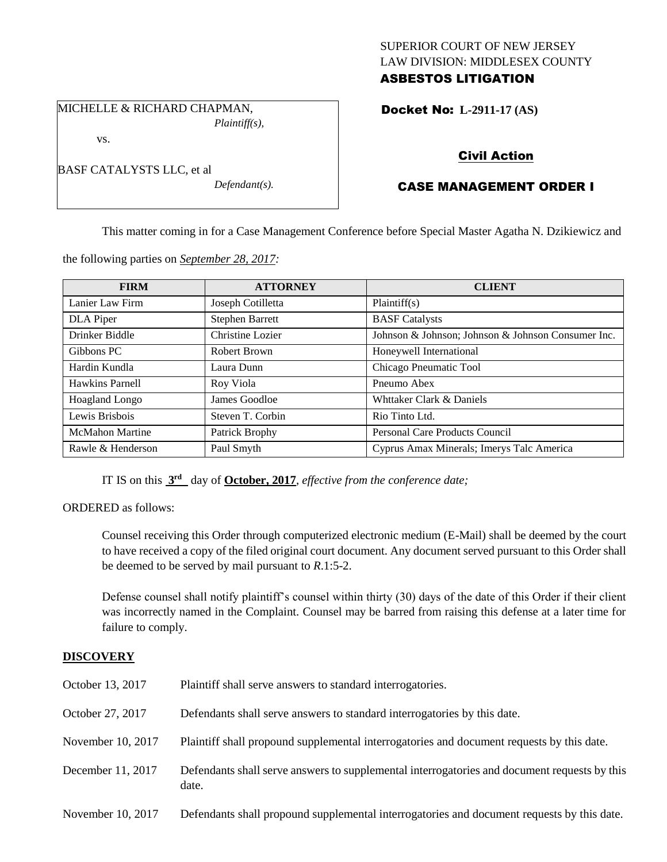# SUPERIOR COURT OF NEW JERSEY LAW DIVISION: MIDDLESEX COUNTY ASBESTOS LITIGATION

Docket No: **L-2911-17 (AS)** 

# Civil Action

# CASE MANAGEMENT ORDER I

This matter coming in for a Case Management Conference before Special Master Agatha N. Dzikiewicz and

the following parties on *September 28, 2017:*

| <b>FIRM</b>            | <b>ATTORNEY</b>        | <b>CLIENT</b>                                      |
|------------------------|------------------------|----------------------------------------------------|
| Lanier Law Firm        | Joseph Cotilletta      | Plaintiff(s)                                       |
| DLA Piper              | <b>Stephen Barrett</b> | <b>BASF</b> Catalysts                              |
| Drinker Biddle         | Christine Lozier       | Johnson & Johnson; Johnson & Johnson Consumer Inc. |
| Gibbons PC             | Robert Brown           | Honeywell International                            |
| Hardin Kundla          | Laura Dunn             | Chicago Pneumatic Tool                             |
| Hawkins Parnell        | Roy Viola              | Pneumo Abex                                        |
| <b>Hoagland Longo</b>  | James Goodloe          | Whttaker Clark & Daniels                           |
| Lewis Brisbois         | Steven T. Corbin       | Rio Tinto Ltd.                                     |
| <b>McMahon Martine</b> | Patrick Brophy         | Personal Care Products Council                     |
| Rawle & Henderson      | Paul Smyth             | Cyprus Amax Minerals; Imerys Talc America          |

IT IS on this  $3<sup>rd</sup>$  day of **October, 2017**, *effective from the conference date*;

ORDERED as follows:

Counsel receiving this Order through computerized electronic medium (E-Mail) shall be deemed by the court to have received a copy of the filed original court document. Any document served pursuant to this Order shall be deemed to be served by mail pursuant to *R*.1:5-2.

Defense counsel shall notify plaintiff's counsel within thirty (30) days of the date of this Order if their client was incorrectly named in the Complaint. Counsel may be barred from raising this defense at a later time for failure to comply.

#### **DISCOVERY**

| October 13, 2017  | Plaintiff shall serve answers to standard interrogatories.                                            |
|-------------------|-------------------------------------------------------------------------------------------------------|
| October 27, 2017  | Defendants shall serve answers to standard interrogatories by this date.                              |
| November 10, 2017 | Plaintiff shall propound supplemental interrogatories and document requests by this date.             |
| December 11, 2017 | Defendants shall serve answers to supplemental interrogatories and document requests by this<br>date. |
| November 10, 2017 | Defendants shall propound supplemental interrogatories and document requests by this date.            |

BASF CATALYSTS LLC, et al *Defendant(s).*

MICHELLE & RICHARD CHAPMAN,

*Plaintiff(s),*

vs.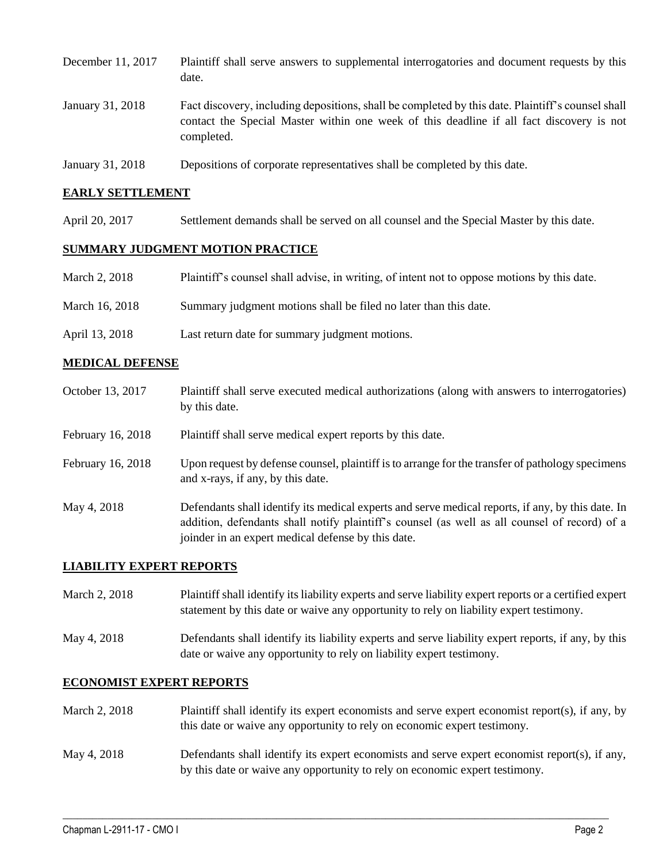| December 11, 2017 | Plaintiff shall serve answers to supplemental interrogatories and document requests by this<br>date.                                                                                                        |
|-------------------|-------------------------------------------------------------------------------------------------------------------------------------------------------------------------------------------------------------|
| January 31, 2018  | Fact discovery, including depositions, shall be completed by this date. Plaintiff's counsel shall<br>contact the Special Master within one week of this deadline if all fact discovery is not<br>completed. |
| January 31, 2018  | Depositions of corporate representatives shall be completed by this date.                                                                                                                                   |

# **EARLY SETTLEMENT**

April 20, 2017 Settlement demands shall be served on all counsel and the Special Master by this date.

#### **SUMMARY JUDGMENT MOTION PRACTICE**

| March 2, 2018  | Plaintiff's counsel shall advise, in writing, of intent not to oppose motions by this date. |
|----------------|---------------------------------------------------------------------------------------------|
| March 16, 2018 | Summary judgment motions shall be filed no later than this date.                            |
| April 13, 2018 | Last return date for summary judgment motions.                                              |

#### **MEDICAL DEFENSE**

| October 13, 2017  | Plaintiff shall serve executed medical authorizations (along with answers to interrogatories)<br>by this date.                                                                                                                                           |
|-------------------|----------------------------------------------------------------------------------------------------------------------------------------------------------------------------------------------------------------------------------------------------------|
| February 16, 2018 | Plaintiff shall serve medical expert reports by this date.                                                                                                                                                                                               |
| February 16, 2018 | Upon request by defense counsel, plaintiff is to arrange for the transfer of pathology specimens<br>and x-rays, if any, by this date.                                                                                                                    |
| May 4, 2018       | Defendants shall identify its medical experts and serve medical reports, if any, by this date. In<br>addition, defendants shall notify plaintiff's counsel (as well as all counsel of record) of a<br>joinder in an expert medical defense by this date. |

#### **LIABILITY EXPERT REPORTS**

| March 2, 2018 | Plaintiff shall identify its liability experts and serve liability expert reports or a certified expert |
|---------------|---------------------------------------------------------------------------------------------------------|
|               | statement by this date or waive any opportunity to rely on liability expert testimony.                  |

May 4, 2018 Defendants shall identify its liability experts and serve liability expert reports, if any, by this date or waive any opportunity to rely on liability expert testimony.

# **ECONOMIST EXPERT REPORTS**

- March 2, 2018 Plaintiff shall identify its expert economists and serve expert economist report(s), if any, by this date or waive any opportunity to rely on economic expert testimony.
- May 4, 2018 Defendants shall identify its expert economists and serve expert economist report(s), if any, by this date or waive any opportunity to rely on economic expert testimony.

 $\_$  ,  $\_$  ,  $\_$  ,  $\_$  ,  $\_$  ,  $\_$  ,  $\_$  ,  $\_$  ,  $\_$  ,  $\_$  ,  $\_$  ,  $\_$  ,  $\_$  ,  $\_$  ,  $\_$  ,  $\_$  ,  $\_$  ,  $\_$  ,  $\_$  ,  $\_$  ,  $\_$  ,  $\_$  ,  $\_$  ,  $\_$  ,  $\_$  ,  $\_$  ,  $\_$  ,  $\_$  ,  $\_$  ,  $\_$  ,  $\_$  ,  $\_$  ,  $\_$  ,  $\_$  ,  $\_$  ,  $\_$  ,  $\_$  ,